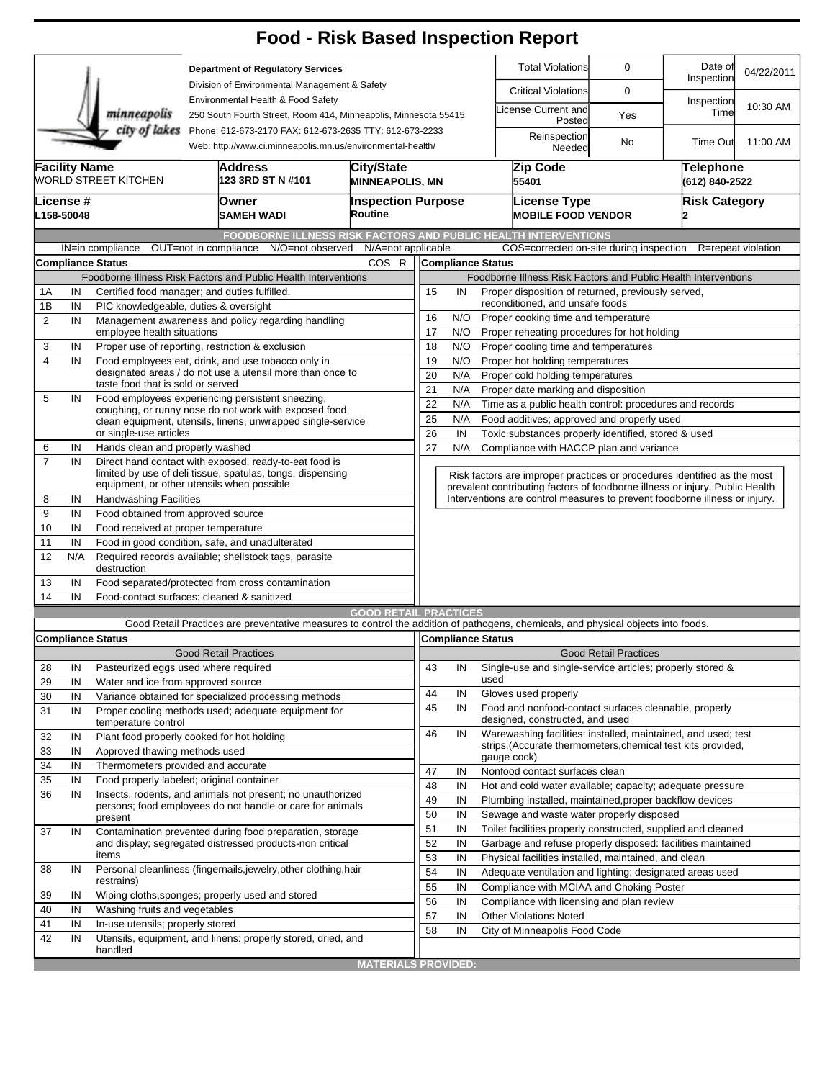|                                               |                                                                                                                                        |                                                                                                                 |                                                                                                                                   | <b>Food - Risk Based Inspection Report</b>                                                                         |                                                                          |                                                                              |                                                                            |                                                                                                                               |                              |                                    |                    |  |  |  |
|-----------------------------------------------|----------------------------------------------------------------------------------------------------------------------------------------|-----------------------------------------------------------------------------------------------------------------|-----------------------------------------------------------------------------------------------------------------------------------|--------------------------------------------------------------------------------------------------------------------|--------------------------------------------------------------------------|------------------------------------------------------------------------------|----------------------------------------------------------------------------|-------------------------------------------------------------------------------------------------------------------------------|------------------------------|------------------------------------|--------------------|--|--|--|
| <b>Department of Regulatory Services</b>      |                                                                                                                                        |                                                                                                                 |                                                                                                                                   |                                                                                                                    |                                                                          |                                                                              |                                                                            | <b>Total Violations</b>                                                                                                       | 0                            |                                    | 04/22/2011         |  |  |  |
| Division of Environmental Management & Safety |                                                                                                                                        |                                                                                                                 |                                                                                                                                   |                                                                                                                    |                                                                          |                                                                              |                                                                            | <b>Critical Violations</b>                                                                                                    | 0                            | Inspection                         |                    |  |  |  |
|                                               |                                                                                                                                        | minneapolis                                                                                                     | Environmental Health & Food Safety<br>250 South Fourth Street, Room 414, Minneapolis, Minnesota 55415                             |                                                                                                                    |                                                                          |                                                                              | icense Current and<br>Posted                                               | Yes                                                                                                                           | Inspection<br>Time           | 10:30 AM                           |                    |  |  |  |
|                                               | city of lakes<br>Phone: 612-673-2170 FAX: 612-673-2635 TTY: 612-673-2233<br>Web: http://www.ci.minneapolis.mn.us/environmental-health/ |                                                                                                                 |                                                                                                                                   |                                                                                                                    |                                                                          |                                                                              |                                                                            | Reinspection<br>Needed                                                                                                        | No                           | <b>Time Out</b>                    | 11:00 AM           |  |  |  |
|                                               | <b>Facility Name</b>                                                                                                                   | <b>WORLD STREET KITCHEN</b>                                                                                     | Address<br>123 3RD ST N #101                                                                                                      | <b>City/State</b>                                                                                                  | <b>MINNEAPOLIS, MN</b>                                                   |                                                                              |                                                                            | Zip Code<br>55401                                                                                                             |                              | <b>Telephone</b><br>(612) 840-2522 |                    |  |  |  |
|                                               | License #<br>L158-50048                                                                                                                |                                                                                                                 | Owner<br><b>SAMEH WADI</b>                                                                                                        | <b>Inspection Purpose</b><br>Routine                                                                               |                                                                          |                                                                              |                                                                            | License Type<br><b>MOBILE FOOD VENDOR</b>                                                                                     |                              | <b>Risk Category</b>               |                    |  |  |  |
|                                               |                                                                                                                                        |                                                                                                                 |                                                                                                                                   | <b>FOODBORNE ILLNESS RISK FACTORS AND PUBLIC HEALTH INTERVENTIONS</b>                                              |                                                                          |                                                                              |                                                                            |                                                                                                                               |                              |                                    |                    |  |  |  |
|                                               |                                                                                                                                        | IN=in compliance                                                                                                | OUT=not in compliance N/O=not observed                                                                                            | N/A=not applicable                                                                                                 |                                                                          |                                                                              |                                                                            | COS=corrected on-site during inspection                                                                                       |                              |                                    | R=repeat violation |  |  |  |
|                                               |                                                                                                                                        | <b>Compliance Status</b>                                                                                        |                                                                                                                                   | COS R                                                                                                              |                                                                          | <b>Compliance Status</b>                                                     |                                                                            |                                                                                                                               |                              |                                    |                    |  |  |  |
|                                               |                                                                                                                                        |                                                                                                                 | Foodborne Illness Risk Factors and Public Health Interventions                                                                    |                                                                                                                    | Foodborne Illness Risk Factors and Public Health Interventions           |                                                                              |                                                                            |                                                                                                                               |                              |                                    |                    |  |  |  |
| 1Α                                            | IN                                                                                                                                     |                                                                                                                 | Certified food manager; and duties fulfilled.                                                                                     |                                                                                                                    | Proper disposition of returned, previously served,<br>15<br>IN           |                                                                              |                                                                            |                                                                                                                               |                              |                                    |                    |  |  |  |
| 1B                                            | IN                                                                                                                                     |                                                                                                                 | PIC knowledgeable, duties & oversight                                                                                             |                                                                                                                    | reconditioned, and unsafe foods                                          |                                                                              |                                                                            |                                                                                                                               |                              |                                    |                    |  |  |  |
| $\overline{2}$                                | Management awareness and policy regarding handling<br>IN                                                                               |                                                                                                                 |                                                                                                                                   |                                                                                                                    | 16<br>N/O<br>Proper cooking time and temperature                         |                                                                              |                                                                            |                                                                                                                               |                              |                                    |                    |  |  |  |
|                                               |                                                                                                                                        | employee health situations                                                                                      |                                                                                                                                   |                                                                                                                    | 17<br>N/O<br>Proper reheating procedures for hot holding                 |                                                                              |                                                                            |                                                                                                                               |                              |                                    |                    |  |  |  |
| 3                                             | IN                                                                                                                                     |                                                                                                                 | Proper use of reporting, restriction & exclusion                                                                                  |                                                                                                                    | 18<br>N/O<br>Proper cooling time and temperatures                        |                                                                              |                                                                            |                                                                                                                               |                              |                                    |                    |  |  |  |
| $\overline{4}$                                | IN                                                                                                                                     | Food employees eat, drink, and use tobacco only in<br>designated areas / do not use a utensil more than once to | 19<br>N/O<br>Proper hot holding temperatures                                                                                      |                                                                                                                    |                                                                          |                                                                              |                                                                            |                                                                                                                               |                              |                                    |                    |  |  |  |
|                                               |                                                                                                                                        | taste food that is sold or served                                                                               |                                                                                                                                   | 20<br>N/A<br>Proper cold holding temperatures<br>21<br>Proper date marking and disposition                         |                                                                          |                                                                              |                                                                            |                                                                                                                               |                              |                                    |                    |  |  |  |
| 5                                             | IN                                                                                                                                     |                                                                                                                 | Food employees experiencing persistent sneezing,                                                                                  | 22                                                                                                                 | N/A<br>N/A                                                               |                                                                              |                                                                            |                                                                                                                               |                              |                                    |                    |  |  |  |
|                                               |                                                                                                                                        |                                                                                                                 | coughing, or runny nose do not work with exposed food,                                                                            | Time as a public health control: procedures and records<br>25<br>N/A<br>Food additives; approved and properly used |                                                                          |                                                                              |                                                                            |                                                                                                                               |                              |                                    |                    |  |  |  |
|                                               |                                                                                                                                        | or single-use articles                                                                                          | clean equipment, utensils, linens, unwrapped single-service                                                                       |                                                                                                                    |                                                                          | 26<br>IN<br>Toxic substances properly identified, stored & used              |                                                                            |                                                                                                                               |                              |                                    |                    |  |  |  |
| 6                                             | IN                                                                                                                                     | Hands clean and properly washed                                                                                 |                                                                                                                                   |                                                                                                                    | 27                                                                       | N/A<br>Compliance with HACCP plan and variance                               |                                                                            |                                                                                                                               |                              |                                    |                    |  |  |  |
| $\overline{7}$                                | IN                                                                                                                                     |                                                                                                                 | Direct hand contact with exposed, ready-to-eat food is<br>limited by use of deli tissue, spatulas, tongs, dispensing              |                                                                                                                    | Risk factors are improper practices or procedures identified as the most |                                                                              |                                                                            |                                                                                                                               |                              |                                    |                    |  |  |  |
|                                               | equipment, or other utensils when possible                                                                                             |                                                                                                                 |                                                                                                                                   |                                                                                                                    |                                                                          | prevalent contributing factors of foodborne illness or injury. Public Health |                                                                            |                                                                                                                               |                              |                                    |                    |  |  |  |
| 8                                             | IN                                                                                                                                     | <b>Handwashing Facilities</b>                                                                                   |                                                                                                                                   |                                                                                                                    |                                                                          |                                                                              | Interventions are control measures to prevent foodborne illness or injury. |                                                                                                                               |                              |                                    |                    |  |  |  |
| 9                                             | IN                                                                                                                                     | Food obtained from approved source                                                                              |                                                                                                                                   |                                                                                                                    |                                                                          |                                                                              |                                                                            |                                                                                                                               |                              |                                    |                    |  |  |  |
| 10                                            | IN                                                                                                                                     | Food received at proper temperature                                                                             |                                                                                                                                   |                                                                                                                    |                                                                          |                                                                              |                                                                            |                                                                                                                               |                              |                                    |                    |  |  |  |
| 11                                            | IN<br>Food in good condition, safe, and unadulterated                                                                                  |                                                                                                                 |                                                                                                                                   |                                                                                                                    |                                                                          |                                                                              |                                                                            |                                                                                                                               |                              |                                    |                    |  |  |  |
| 12                                            | N/A                                                                                                                                    | destruction                                                                                                     | Required records available; shellstock tags, parasite                                                                             |                                                                                                                    |                                                                          |                                                                              |                                                                            |                                                                                                                               |                              |                                    |                    |  |  |  |
| 13                                            | IN                                                                                                                                     |                                                                                                                 | Food separated/protected from cross contamination                                                                                 |                                                                                                                    |                                                                          |                                                                              |                                                                            |                                                                                                                               |                              |                                    |                    |  |  |  |
| 14                                            | IN                                                                                                                                     |                                                                                                                 | Food-contact surfaces: cleaned & sanitized                                                                                        |                                                                                                                    |                                                                          |                                                                              |                                                                            |                                                                                                                               |                              |                                    |                    |  |  |  |
|                                               |                                                                                                                                        |                                                                                                                 | Good Retail Practices are preventative measures to control the addition of pathogens, chemicals, and physical objects into foods. | <b>GOOD RETAIL PRACTICES</b>                                                                                       |                                                                          |                                                                              |                                                                            |                                                                                                                               |                              |                                    |                    |  |  |  |
|                                               |                                                                                                                                        | <b>Compliance Status</b>                                                                                        |                                                                                                                                   |                                                                                                                    |                                                                          | Compliance Status                                                            |                                                                            |                                                                                                                               |                              |                                    |                    |  |  |  |
|                                               |                                                                                                                                        |                                                                                                                 | <b>Good Retail Practices</b>                                                                                                      |                                                                                                                    |                                                                          |                                                                              |                                                                            |                                                                                                                               | <b>Good Retail Practices</b> |                                    |                    |  |  |  |
| 28                                            | IN                                                                                                                                     |                                                                                                                 | Pasteurized eggs used where required                                                                                              |                                                                                                                    | 43                                                                       | IN                                                                           |                                                                            | Single-use and single-service articles; properly stored &                                                                     |                              |                                    |                    |  |  |  |
| 29                                            | IN                                                                                                                                     | Water and ice from approved source                                                                              |                                                                                                                                   |                                                                                                                    | 44                                                                       |                                                                              | used                                                                       |                                                                                                                               |                              |                                    |                    |  |  |  |
| 30                                            | IN                                                                                                                                     | Variance obtained for specialized processing methods                                                            |                                                                                                                                   |                                                                                                                    |                                                                          | IN                                                                           |                                                                            | Gloves used properly                                                                                                          |                              |                                    |                    |  |  |  |
| 31                                            | IN                                                                                                                                     | Proper cooling methods used; adequate equipment for<br>temperature control                                      |                                                                                                                                   |                                                                                                                    |                                                                          | IN                                                                           |                                                                            | Food and nonfood-contact surfaces cleanable, properly<br>designed, constructed, and used                                      |                              |                                    |                    |  |  |  |
| 32                                            | IN                                                                                                                                     |                                                                                                                 | Plant food properly cooked for hot holding                                                                                        |                                                                                                                    | 46                                                                       | IN                                                                           |                                                                            | Warewashing facilities: installed, maintained, and used; test<br>strips. (Accurate thermometers, chemical test kits provided, |                              |                                    |                    |  |  |  |
| 33                                            | IN                                                                                                                                     | Approved thawing methods used                                                                                   |                                                                                                                                   |                                                                                                                    |                                                                          |                                                                              |                                                                            | gauge cock)                                                                                                                   |                              |                                    |                    |  |  |  |
| 34                                            | IN                                                                                                                                     | Thermometers provided and accurate                                                                              |                                                                                                                                   | 47                                                                                                                 | IN                                                                       |                                                                              | Nonfood contact surfaces clean                                             |                                                                                                                               |                              |                                    |                    |  |  |  |
| 35                                            | IN                                                                                                                                     |                                                                                                                 | Food properly labeled; original container                                                                                         |                                                                                                                    |                                                                          |                                                                              |                                                                            | Hot and cold water available; capacity; adequate pressure                                                                     |                              |                                    |                    |  |  |  |
| 36                                            | IN                                                                                                                                     |                                                                                                                 | Insects, rodents, and animals not present; no unauthorized                                                                        |                                                                                                                    | 49                                                                       | IN                                                                           |                                                                            | Plumbing installed, maintained, proper backflow devices                                                                       |                              |                                    |                    |  |  |  |
|                                               |                                                                                                                                        | present                                                                                                         | persons; food employees do not handle or care for animals                                                                         |                                                                                                                    | 50                                                                       | IN                                                                           |                                                                            | Sewage and waste water properly disposed                                                                                      |                              |                                    |                    |  |  |  |
| 37                                            | IN                                                                                                                                     |                                                                                                                 | Contamination prevented during food preparation, storage                                                                          |                                                                                                                    | 51                                                                       | IN                                                                           |                                                                            | Toilet facilities properly constructed, supplied and cleaned                                                                  |                              |                                    |                    |  |  |  |
|                                               |                                                                                                                                        |                                                                                                                 | and display; segregated distressed products-non critical                                                                          |                                                                                                                    |                                                                          | IN                                                                           |                                                                            | Garbage and refuse properly disposed: facilities maintained                                                                   |                              |                                    |                    |  |  |  |
|                                               |                                                                                                                                        | items                                                                                                           |                                                                                                                                   | 53<br>IN<br>Physical facilities installed, maintained, and clean                                                   |                                                                          |                                                                              |                                                                            |                                                                                                                               |                              |                                    |                    |  |  |  |
| 38                                            | IN                                                                                                                                     | restrains)                                                                                                      | Personal cleanliness (fingernails, jewelry, other clothing, hair                                                                  |                                                                                                                    | 54                                                                       | IN<br>Adequate ventilation and lighting; designated areas used               |                                                                            |                                                                                                                               |                              |                                    |                    |  |  |  |
| IN<br>39                                      |                                                                                                                                        |                                                                                                                 | Wiping cloths, sponges; properly used and stored                                                                                  | 55                                                                                                                 | IN                                                                       |                                                                              | Compliance with MCIAA and Choking Poster                                   |                                                                                                                               |                              |                                    |                    |  |  |  |
| 40                                            | IN                                                                                                                                     | Washing fruits and vegetables                                                                                   |                                                                                                                                   | 56                                                                                                                 | IN                                                                       | Compliance with licensing and plan review                                    |                                                                            |                                                                                                                               |                              |                                    |                    |  |  |  |
| 41                                            | IN                                                                                                                                     | In-use utensils; properly stored                                                                                |                                                                                                                                   | 57                                                                                                                 | IN                                                                       |                                                                              | <b>Other Violations Noted</b>                                              |                                                                                                                               |                              |                                    |                    |  |  |  |
| 42                                            | IN                                                                                                                                     |                                                                                                                 | Utensils, equipment, and linens: properly stored, dried, and                                                                      |                                                                                                                    | 58                                                                       | IN                                                                           |                                                                            | City of Minneapolis Food Code                                                                                                 |                              |                                    |                    |  |  |  |
|                                               |                                                                                                                                        | handled                                                                                                         |                                                                                                                                   |                                                                                                                    |                                                                          |                                                                              |                                                                            |                                                                                                                               |                              |                                    |                    |  |  |  |
|                                               |                                                                                                                                        |                                                                                                                 |                                                                                                                                   | <b>MATERIALS PROVIDED:</b>                                                                                         |                                                                          |                                                                              |                                                                            |                                                                                                                               |                              |                                    |                    |  |  |  |